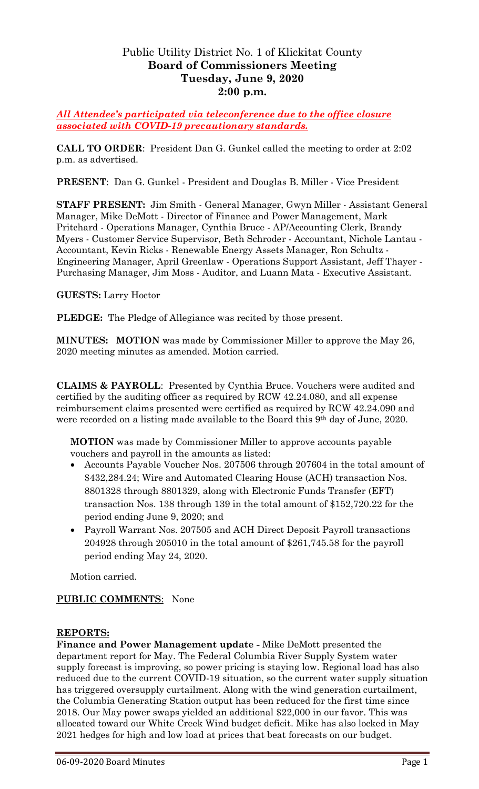# Public Utility District No. 1 of Klickitat County **Board of Commissioners Meeting Tuesday, June 9, 2020 2:00 p.m.**

*All Attendee's participated via teleconference due to the office closure associated with COVID-19 precautionary standards.*

**CALL TO ORDER**: President Dan G. Gunkel called the meeting to order at 2:02 p.m. as advertised.

**PRESENT**: Dan G. Gunkel - President and Douglas B. Miller - Vice President

**STAFF PRESENT:** Jim Smith - General Manager, Gwyn Miller - Assistant General Manager, Mike DeMott - Director of Finance and Power Management, Mark Pritchard - Operations Manager, Cynthia Bruce - AP/Accounting Clerk, Brandy Myers - Customer Service Supervisor, Beth Schroder - Accountant, Nichole Lantau - Accountant, Kevin Ricks - Renewable Energy Assets Manager, Ron Schultz - Engineering Manager, April Greenlaw - Operations Support Assistant, Jeff Thayer - Purchasing Manager, Jim Moss - Auditor, and Luann Mata - Executive Assistant.

### **GUESTS:** Larry Hoctor

**PLEDGE:** The Pledge of Allegiance was recited by those present.

**MINUTES: MOTION** was made by Commissioner Miller to approve the May 26, 2020 meeting minutes as amended. Motion carried.

**CLAIMS & PAYROLL**: Presented by Cynthia Bruce. Vouchers were audited and certified by the auditing officer as required by RCW 42.24.080, and all expense reimbursement claims presented were certified as required by RCW 42.24.090 and were recorded on a listing made available to the Board this 9th day of June, 2020.

**MOTION** was made by Commissioner Miller to approve accounts payable vouchers and payroll in the amounts as listed:

- Accounts Payable Voucher Nos. 207506 through 207604 in the total amount of \$432,284.24; Wire and Automated Clearing House (ACH) transaction Nos. 8801328 through 8801329, along with Electronic Funds Transfer (EFT) transaction Nos. 138 through 139 in the total amount of \$152,720.22 for the period ending June 9, 2020; and
- Payroll Warrant Nos. 207505 and ACH Direct Deposit Payroll transactions 204928 through 205010 in the total amount of \$261,745.58 for the payroll period ending May 24, 2020.

Motion carried.

# **PUBLIC COMMENTS**: None

#### **REPORTS:**

**Finance and Power Management update -** Mike DeMott presented the department report for May. The Federal Columbia River Supply System water supply forecast is improving, so power pricing is staying low. Regional load has also reduced due to the current COVID-19 situation, so the current water supply situation has triggered oversupply curtailment. Along with the wind generation curtailment, the Columbia Generating Station output has been reduced for the first time since 2018. Our May power swaps yielded an additional \$22,000 in our favor. This was allocated toward our White Creek Wind budget deficit. Mike has also locked in May 2021 hedges for high and low load at prices that beat forecasts on our budget.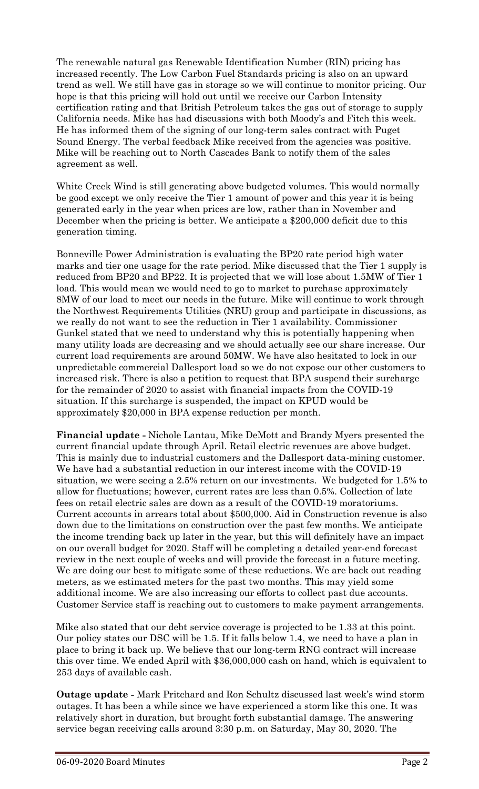The renewable natural gas Renewable Identification Number (RIN) pricing has increased recently. The Low Carbon Fuel Standards pricing is also on an upward trend as well. We still have gas in storage so we will continue to monitor pricing. Our hope is that this pricing will hold out until we receive our Carbon Intensity certification rating and that British Petroleum takes the gas out of storage to supply California needs. Mike has had discussions with both Moody's and Fitch this week. He has informed them of the signing of our long-term sales contract with Puget Sound Energy. The verbal feedback Mike received from the agencies was positive. Mike will be reaching out to North Cascades Bank to notify them of the sales agreement as well.

White Creek Wind is still generating above budgeted volumes. This would normally be good except we only receive the Tier 1 amount of power and this year it is being generated early in the year when prices are low, rather than in November and December when the pricing is better. We anticipate a \$200,000 deficit due to this generation timing.

Bonneville Power Administration is evaluating the BP20 rate period high water marks and tier one usage for the rate period. Mike discussed that the Tier 1 supply is reduced from BP20 and BP22. It is projected that we will lose about 1.5MW of Tier 1 load. This would mean we would need to go to market to purchase approximately 8MW of our load to meet our needs in the future. Mike will continue to work through the Northwest Requirements Utilities (NRU) group and participate in discussions, as we really do not want to see the reduction in Tier 1 availability. Commissioner Gunkel stated that we need to understand why this is potentially happening when many utility loads are decreasing and we should actually see our share increase. Our current load requirements are around 50MW. We have also hesitated to lock in our unpredictable commercial Dallesport load so we do not expose our other customers to increased risk. There is also a petition to request that BPA suspend their surcharge for the remainder of 2020 to assist with financial impacts from the COVID-19 situation. If this surcharge is suspended, the impact on KPUD would be approximately \$20,000 in BPA expense reduction per month.

**Financial update -** Nichole Lantau, Mike DeMott and Brandy Myers presented the current financial update through April. Retail electric revenues are above budget. This is mainly due to industrial customers and the Dallesport data-mining customer. We have had a substantial reduction in our interest income with the COVID-19 situation, we were seeing a 2.5% return on our investments. We budgeted for 1.5% to allow for fluctuations; however, current rates are less than 0.5%. Collection of late fees on retail electric sales are down as a result of the COVID-19 moratoriums. Current accounts in arrears total about \$500,000. Aid in Construction revenue is also down due to the limitations on construction over the past few months. We anticipate the income trending back up later in the year, but this will definitely have an impact on our overall budget for 2020. Staff will be completing a detailed year-end forecast review in the next couple of weeks and will provide the forecast in a future meeting. We are doing our best to mitigate some of these reductions. We are back out reading meters, as we estimated meters for the past two months. This may yield some additional income. We are also increasing our efforts to collect past due accounts. Customer Service staff is reaching out to customers to make payment arrangements.

Mike also stated that our debt service coverage is projected to be 1.33 at this point. Our policy states our DSC will be 1.5. If it falls below 1.4, we need to have a plan in place to bring it back up. We believe that our long-term RNG contract will increase this over time. We ended April with \$36,000,000 cash on hand, which is equivalent to 253 days of available cash.

**Outage update -** Mark Pritchard and Ron Schultz discussed last week's wind storm outages. It has been a while since we have experienced a storm like this one. It was relatively short in duration, but brought forth substantial damage. The answering service began receiving calls around 3:30 p.m. on Saturday, May 30, 2020. The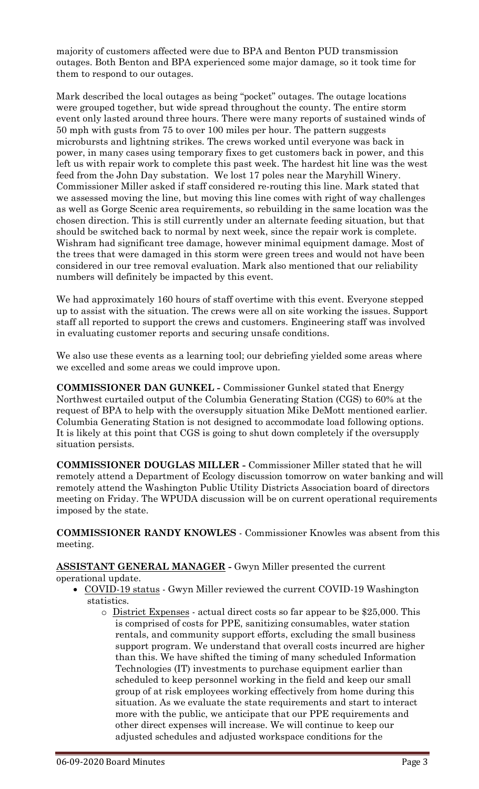majority of customers affected were due to BPA and Benton PUD transmission outages. Both Benton and BPA experienced some major damage, so it took time for them to respond to our outages.

Mark described the local outages as being "pocket" outages. The outage locations were grouped together, but wide spread throughout the county. The entire storm event only lasted around three hours. There were many reports of sustained winds of 50 mph with gusts from 75 to over 100 miles per hour. The pattern suggests microbursts and lightning strikes. The crews worked until everyone was back in power, in many cases using temporary fixes to get customers back in power, and this left us with repair work to complete this past week. The hardest hit line was the west feed from the John Day substation. We lost 17 poles near the Maryhill Winery. Commissioner Miller asked if staff considered re-routing this line. Mark stated that we assessed moving the line, but moving this line comes with right of way challenges as well as Gorge Scenic area requirements, so rebuilding in the same location was the chosen direction. This is still currently under an alternate feeding situation, but that should be switched back to normal by next week, since the repair work is complete. Wishram had significant tree damage, however minimal equipment damage. Most of the trees that were damaged in this storm were green trees and would not have been considered in our tree removal evaluation. Mark also mentioned that our reliability numbers will definitely be impacted by this event.

We had approximately 160 hours of staff overtime with this event. Everyone stepped up to assist with the situation. The crews were all on site working the issues. Support staff all reported to support the crews and customers. Engineering staff was involved in evaluating customer reports and securing unsafe conditions.

We also use these events as a learning tool; our debriefing yielded some areas where we excelled and some areas we could improve upon.

**COMMISSIONER DAN GUNKEL -** Commissioner Gunkel stated that Energy Northwest curtailed output of the Columbia Generating Station (CGS) to 60% at the request of BPA to help with the oversupply situation Mike DeMott mentioned earlier. Columbia Generating Station is not designed to accommodate load following options. It is likely at this point that CGS is going to shut down completely if the oversupply situation persists.

**COMMISSIONER DOUGLAS MILLER -** Commissioner Miller stated that he will remotely attend a Department of Ecology discussion tomorrow on water banking and will remotely attend the Washington Public Utility Districts Association board of directors meeting on Friday. The WPUDA discussion will be on current operational requirements imposed by the state.

**COMMISSIONER RANDY KNOWLES** - Commissioner Knowles was absent from this meeting.

**ASSISTANT GENERAL MANAGER -** Gwyn Miller presented the current operational update.

- COVID-19 status Gwyn Miller reviewed the current COVID-19 Washington statistics.
	- $\circ$  District Expenses actual direct costs so far appear to be \$25,000. This is comprised of costs for PPE, sanitizing consumables, water station rentals, and community support efforts, excluding the small business support program. We understand that overall costs incurred are higher than this. We have shifted the timing of many scheduled Information Technologies (IT) investments to purchase equipment earlier than scheduled to keep personnel working in the field and keep our small group of at risk employees working effectively from home during this situation. As we evaluate the state requirements and start to interact more with the public, we anticipate that our PPE requirements and other direct expenses will increase. We will continue to keep our adjusted schedules and adjusted workspace conditions for the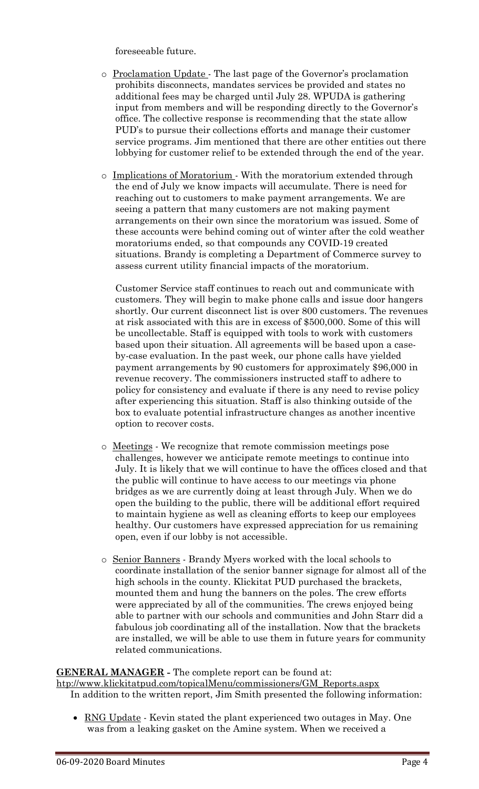foreseeable future.

- o Proclamation Update The last page of the Governor's proclamation prohibits disconnects, mandates services be provided and states no additional fees may be charged until July 28. WPUDA is gathering input from members and will be responding directly to the Governor's office. The collective response is recommending that the state allow PUD's to pursue their collections efforts and manage their customer service programs. Jim mentioned that there are other entities out there lobbying for customer relief to be extended through the end of the year.
- o Implications of Moratorium With the moratorium extended through the end of July we know impacts will accumulate. There is need for reaching out to customers to make payment arrangements. We are seeing a pattern that many customers are not making payment arrangements on their own since the moratorium was issued. Some of these accounts were behind coming out of winter after the cold weather moratoriums ended, so that compounds any COVID-19 created situations. Brandy is completing a Department of Commerce survey to assess current utility financial impacts of the moratorium.

Customer Service staff continues to reach out and communicate with customers. They will begin to make phone calls and issue door hangers shortly. Our current disconnect list is over 800 customers. The revenues at risk associated with this are in excess of \$500,000. Some of this will be uncollectable. Staff is equipped with tools to work with customers based upon their situation. All agreements will be based upon a caseby-case evaluation. In the past week, our phone calls have yielded payment arrangements by 90 customers for approximately \$96,000 in revenue recovery. The commissioners instructed staff to adhere to policy for consistency and evaluate if there is any need to revise policy after experiencing this situation. Staff is also thinking outside of the box to evaluate potential infrastructure changes as another incentive option to recover costs.

- o Meetings We recognize that remote commission meetings pose challenges, however we anticipate remote meetings to continue into July. It is likely that we will continue to have the offices closed and that the public will continue to have access to our meetings via phone bridges as we are currently doing at least through July. When we do open the building to the public, there will be additional effort required to maintain hygiene as well as cleaning efforts to keep our employees healthy. Our customers have expressed appreciation for us remaining open, even if our lobby is not accessible.
- o Senior Banners Brandy Myers worked with the local schools to coordinate installation of the senior banner signage for almost all of the high schools in the county. Klickitat PUD purchased the brackets, mounted them and hung the banners on the poles. The crew efforts were appreciated by all of the communities. The crews enjoyed being able to partner with our schools and communities and John Starr did a fabulous job coordinating all of the installation. Now that the brackets are installed, we will be able to use them in future years for community related communications.

#### **GENERAL MANAGER -** The complete report can be found at:

[htp://www.klickitatpud.com/topicalMenu/commissioners/GM\\_Reports.aspx](http://www.klickitatpud.com/topicalMenu/commissioners/GM_Reports.aspx) In addition to the written report, Jim Smith presented the following information:

• RNG Update - Kevin stated the plant experienced two outages in May. One was from a leaking gasket on the Amine system. When we received a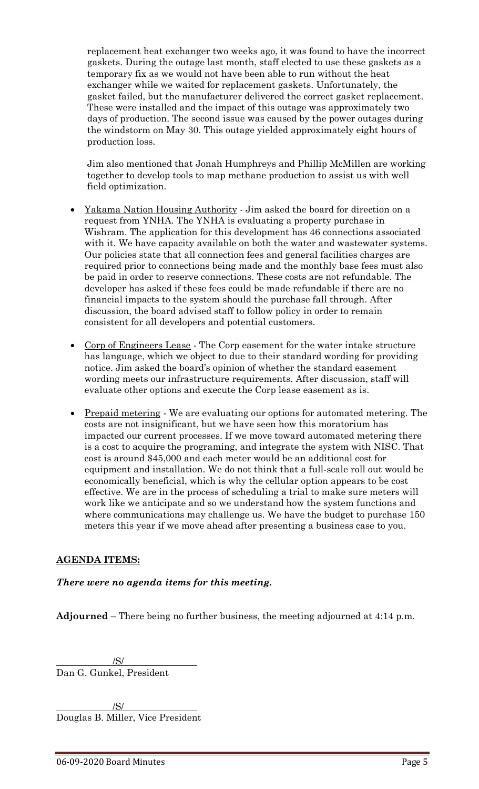replacement heat exchanger two weeks ago, it was found to have the incorrect gaskets. During the outage last month, staff elected to use these gaskets as a temporary fix as we would not have been able to run without the heat exchanger while we waited for replacement gaskets. Unfortunately, the gasket failed, but the manufacturer delivered the correct gasket replacement. These were installed and the impact of this outage was approximately two days of production. The second issue was caused by the power outages during the windstorm on May 30. This outage yielded approximately eight hours of production loss.

Jim also mentioned that Jonah Humphreys and Phillip McMillen are working together to develop tools to map methane production to assist us with well field optimization.

- Yakama Nation Housing Authority Jim asked the board for direction on a request from YNHA. The YNHA is evaluating a property purchase in Wishram. The application for this development has 46 connections associated with it. We have capacity available on both the water and wastewater systems. Our policies state that all connection fees and general facilities charges are required prior to connections being made and the monthly base fees must also be paid in order to reserve connections. These costs are not refundable. The developer has asked if these fees could be made refundable if there are no financial impacts to the system should the purchase fall through. After discussion, the board advised staff to follow policy in order to remain consistent for all developers and potential customers.
- Corp of Engineers Lease The Corp easement for the water intake structure has language, which we object to due to their standard wording for providing notice. Jim asked the board's opinion of whether the standard easement wording meets our infrastructure requirements. After discussion, staff will evaluate other options and execute the Corp lease easement as is.
- Prepaid metering We are evaluating our options for automated metering. The costs are not insignificant, but we have seen how this moratorium has impacted our current processes. If we move toward automated metering there is a cost to acquire the programing, and integrate the system with NISC. That cost is around \$45,000 and each meter would be an additional cost for equipment and installation. We do not think that a full-scale roll out would be economically beneficial, which is why the cellular option appears to be cost effective. We are in the process of scheduling a trial to make sure meters will work like we anticipate and so we understand how the system functions and where communications may challenge us. We have the budget to purchase 150 meters this year if we move ahead after presenting a business case to you.

# **AGENDA ITEMS:**

#### *There were no agenda items for this meeting.*

**Adjourned** – There being no further business, the meeting adjourned at 4:14 p.m.

/S/ Dan G. Gunkel, President

/S/ Douglas B. Miller, Vice President